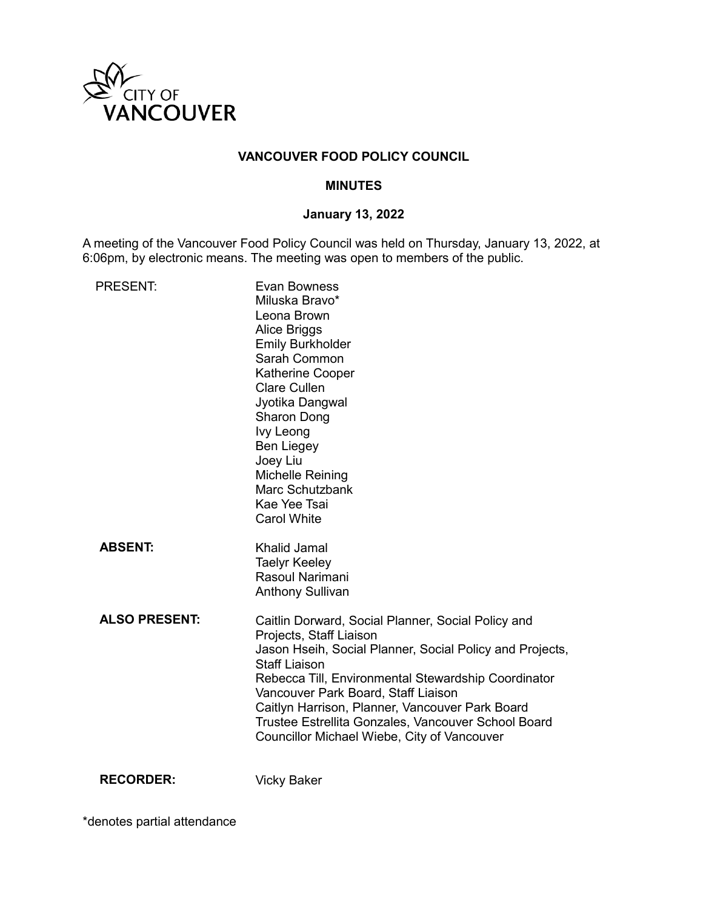

# **VANCOUVER FOOD POLICY COUNCIL**

#### **MINUTES**

#### **January 13, 2022**

A meeting of the Vancouver Food Policy Council was held on Thursday, January 13, 2022, at 6:06pm, by electronic means. The meeting was open to members of the public.

| <b>PRESENT:</b>      | <b>Evan Bowness</b><br>Miluska Bravo*<br>Leona Brown<br>Alice Briggs<br><b>Emily Burkholder</b><br>Sarah Common<br><b>Katherine Cooper</b><br><b>Clare Cullen</b><br>Jyotika Dangwal<br>Sharon Dong<br>Ivy Leong<br><b>Ben Liegey</b><br>Joey Liu<br>Michelle Reining<br>Marc Schutzbank<br>Kae Yee Tsai<br><b>Carol White</b>                                                                                           |
|----------------------|--------------------------------------------------------------------------------------------------------------------------------------------------------------------------------------------------------------------------------------------------------------------------------------------------------------------------------------------------------------------------------------------------------------------------|
| <b>ABSENT:</b>       | Khalid Jamal<br><b>Taelyr Keeley</b><br>Rasoul Narimani<br><b>Anthony Sullivan</b>                                                                                                                                                                                                                                                                                                                                       |
| <b>ALSO PRESENT:</b> | Caitlin Dorward, Social Planner, Social Policy and<br>Projects, Staff Liaison<br>Jason Hseih, Social Planner, Social Policy and Projects,<br><b>Staff Liaison</b><br>Rebecca Till, Environmental Stewardship Coordinator<br>Vancouver Park Board, Staff Liaison<br>Caitlyn Harrison, Planner, Vancouver Park Board<br>Trustee Estrellita Gonzales, Vancouver School Board<br>Councillor Michael Wiebe, City of Vancouver |

**RECORDER:** Vicky Baker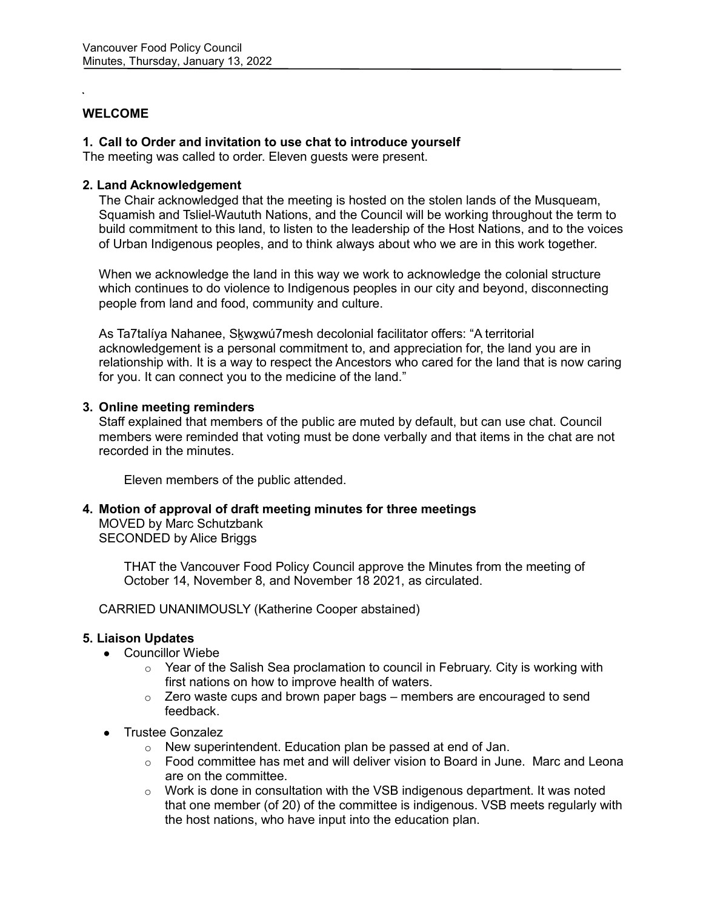# **WELCOME**

### **1. Call to Order and invitation to use chat to introduce yourself**

The meeting was called to order. Eleven guests were present.

### **2. Land Acknowledgement**

The Chair acknowledged that the meeting is hosted on the stolen lands of the Musqueam, Squamish and Tsliel-Waututh Nations, and the Council will be working throughout the term to build commitment to this land, to listen to the leadership of the Host Nations, and to the voices of Urban Indigenous peoples, and to think always about who we are in this work together.

When we acknowledge the land in this way we work to acknowledge the colonial structure which continues to do violence to Indigenous peoples in our city and beyond, disconnecting people from land and food, community and culture.

As Ta7talíya Nahanee, Skwxwú7mesh decolonial facilitator offers: "A territorial acknowledgement is a personal commitment to, and appreciation for, the land you are in relationship with. It is a way to respect the Ancestors who cared for the land that is now caring for you. It can connect you to the medicine of the land."

### **3. Online meeting reminders**

Staff explained that members of the public are muted by default, but can use chat. Council members were reminded that voting must be done verbally and that items in the chat are not recorded in the minutes.

Eleven members of the public attended.

**4. Motion of approval of draft meeting minutes for three meetings** MOVED by Marc Schutzbank SECONDED by Alice Briggs

> THAT the Vancouver Food Policy Council approve the Minutes from the meeting of October 14, November 8, and November 18 2021, as circulated.

CARRIED UNANIMOUSLY (Katherine Cooper abstained)

# **5. Liaison Updates**

- Councillor Wiebe
	- $\circ$  Year of the Salish Sea proclamation to council in February. City is working with first nations on how to improve health of waters.
	- $\circ$  Zero waste cups and brown paper bags members are encouraged to send feedback.
- Trustee Gonzalez
	- o New superintendent. Education plan be passed at end of Jan.
	- o Food committee has met and will deliver vision to Board in June. Marc and Leona are on the committee.
	- $\circ$  Work is done in consultation with the VSB indigenous department. It was noted that one member (of 20) of the committee is indigenous. VSB meets regularly with the host nations, who have input into the education plan.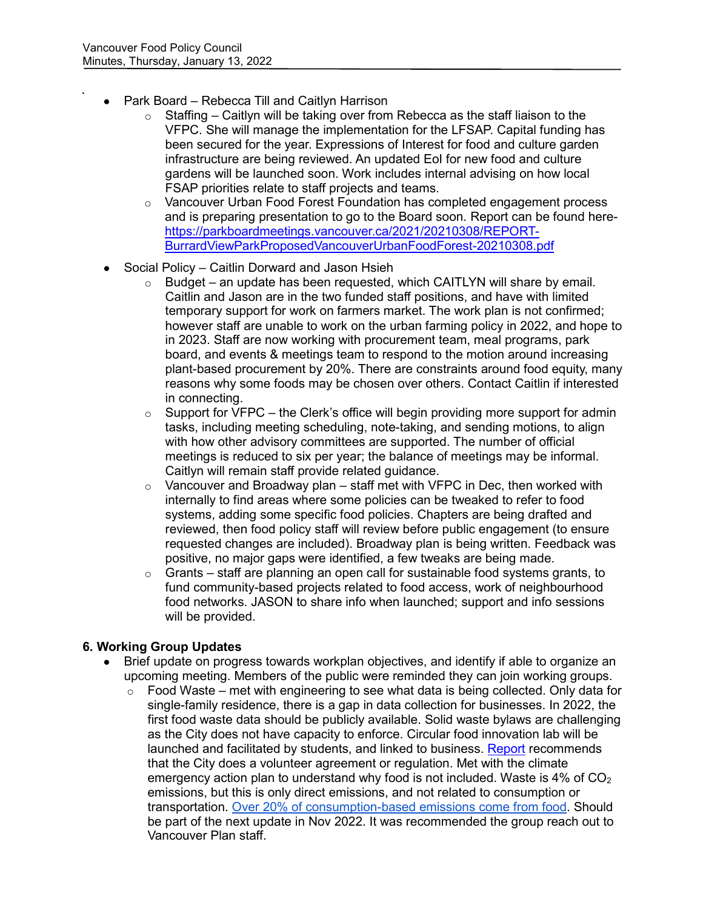- Park Board Rebecca Till and Caitlyn Harrison
	- $\circ$  Staffing Caitlyn will be taking over from Rebecca as the staff liaison to the VFPC. She will manage the implementation for the LFSAP. Capital funding has been secured for the year. Expressions of Interest for food and culture garden infrastructure are being reviewed. An updated EoI for new food and culture gardens will be launched soon. Work includes internal advising on how local FSAP priorities relate to staff projects and teams.
	- o Vancouver Urban Food Forest Foundation has completed engagement process and is preparing presentation to go to the Board soon. Report can be found here[https://parkboardmeetings.vancouver.ca/2021/20210308/REPORT-](https://parkboardmeetings.vancouver.ca/2021/20210308/REPORT-BurrardViewParkProposedVancouverUrbanFoodForest-20210308.pdf)[BurrardViewParkProposedVancouverUrbanFoodForest-20210308.pdf](https://parkboardmeetings.vancouver.ca/2021/20210308/REPORT-BurrardViewParkProposedVancouverUrbanFoodForest-20210308.pdf)
- Social Policy Caitlin Dorward and Jason Hsieh
	- $\circ$  Budget an update has been requested, which CAITLYN will share by email. Caitlin and Jason are in the two funded staff positions, and have with limited temporary support for work on farmers market. The work plan is not confirmed; however staff are unable to work on the urban farming policy in 2022, and hope to in 2023. Staff are now working with procurement team, meal programs, park board, and events & meetings team to respond to the motion around increasing plant-based procurement by 20%. There are constraints around food equity, many reasons why some foods may be chosen over others. Contact Caitlin if interested in connecting.
	- $\circ$  Support for VFPC the Clerk's office will begin providing more support for admin tasks, including meeting scheduling, note-taking, and sending motions, to align with how other advisory committees are supported. The number of official meetings is reduced to six per year; the balance of meetings may be informal. Caitlyn will remain staff provide related guidance.
	- $\circ$  Vancouver and Broadway plan staff met with VFPC in Dec, then worked with internally to find areas where some policies can be tweaked to refer to food systems, adding some specific food policies. Chapters are being drafted and reviewed, then food policy staff will review before public engagement (to ensure requested changes are included). Broadway plan is being written. Feedback was positive, no major gaps were identified, a few tweaks are being made.
	- $\circ$  Grants staff are planning an open call for sustainable food systems grants, to fund community-based projects related to food access, work of neighbourhood food networks. JASON to share info when launched; support and info sessions will be provided.

# **6. Working Group Updates**

- Brief update on progress towards workplan objectives, and identify if able to organize an upcoming meeting. Members of the public were reminded they can join working groups.
	- $\circ$  Food Waste met with engineering to see what data is being collected. Only data for single-family residence, there is a gap in data collection for businesses. In 2022, the first food waste data should be publicly available. Solid waste bylaws are challenging as the City does not have capacity to enforce. Circular food innovation lab will be launched and facilitated by students, and linked to business. [Report](https://sustain.ubc.ca/about/resources/policies-incentives-and-measurement-protocols-food-waste-reporting-businesses) recommends that the City does a volunteer agreement or regulation. Met with the climate emergency action plan to understand why food is not included. Waste is 4% of  $CO<sub>2</sub>$ emissions, but this is only direct emissions, and not related to consumption or transportation. [Over 20% of consumption-based emissions come from food.](https://council.vancouver.ca/20201103/documents/p1.pdf) Should be part of the next update in Nov 2022. It was recommended the group reach out to Vancouver Plan staff.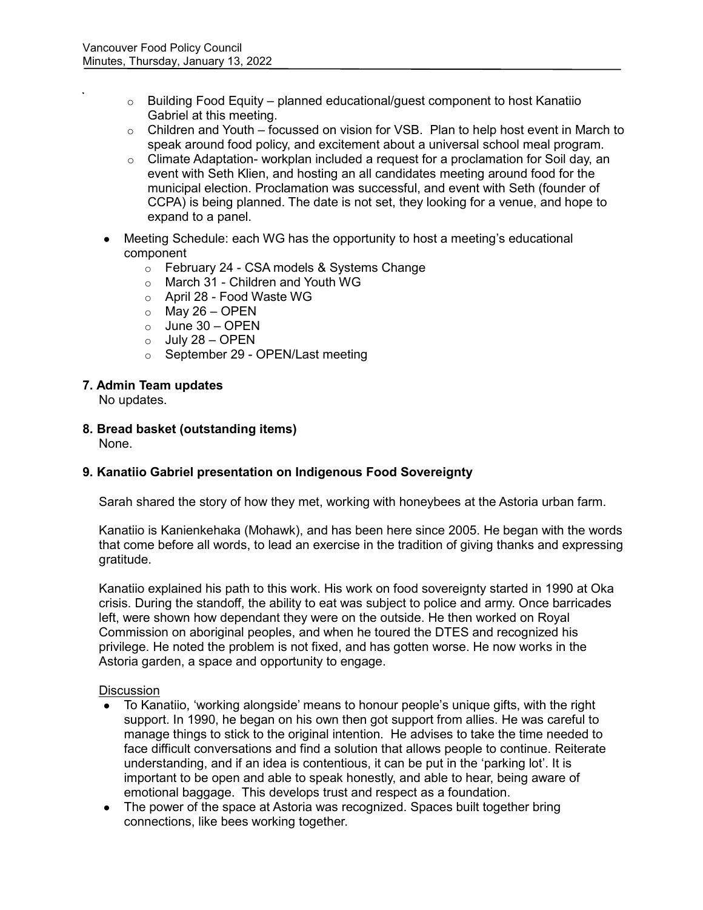- $\circ$  Building Food Equity planned educational/guest component to host Kanatiio Gabriel at this meeting.
- $\circ$  Children and Youth focussed on vision for VSB. Plan to help host event in March to speak around food policy, and excitement about a universal school meal program.
- $\circ$  Climate Adaptation- workplan included a request for a proclamation for Soil day, an event with Seth Klien, and hosting an all candidates meeting around food for the municipal election. Proclamation was successful, and event with Seth (founder of CCPA) is being planned. The date is not set, they looking for a venue, and hope to expand to a panel.
- Meeting Schedule: each WG has the opportunity to host a meeting's educational component
	- o February 24 CSA models & Systems Change
	- o March 31 Children and Youth WG
	- o April 28 Food Waste WG
	- $\circ$  May 26 OPEN
	- $\circ$  June 30 OPEN
	- $o$  July 28 OPEN
	- o September 29 OPEN/Last meeting

#### **7. Admin Team updates**

No updates.

**8. Bread basket (outstanding items)**

None.

# **9. Kanatiio Gabriel presentation on Indigenous Food Sovereignty**

Sarah shared the story of how they met, working with honeybees at the Astoria urban farm.

Kanatiio is Kanienkehaka (Mohawk), and has been here since 2005. He began with the words that come before all words, to lead an exercise in the tradition of giving thanks and expressing gratitude.

Kanatiio explained his path to this work. His work on food sovereignty started in 1990 at Oka crisis. During the standoff, the ability to eat was subject to police and army. Once barricades left, were shown how dependant they were on the outside. He then worked on Royal Commission on aboriginal peoples, and when he toured the DTES and recognized his privilege. He noted the problem is not fixed, and has gotten worse. He now works in the Astoria garden, a space and opportunity to engage.

#### **Discussion**

- To Kanatiio, 'working alongside' means to honour people's unique gifts, with the right support. In 1990, he began on his own then got support from allies. He was careful to manage things to stick to the original intention. He advises to take the time needed to face difficult conversations and find a solution that allows people to continue. Reiterate understanding, and if an idea is contentious, it can be put in the 'parking lot'. It is important to be open and able to speak honestly, and able to hear, being aware of emotional baggage. This develops trust and respect as a foundation.
- The power of the space at Astoria was recognized. Spaces built together bring connections, like bees working together.